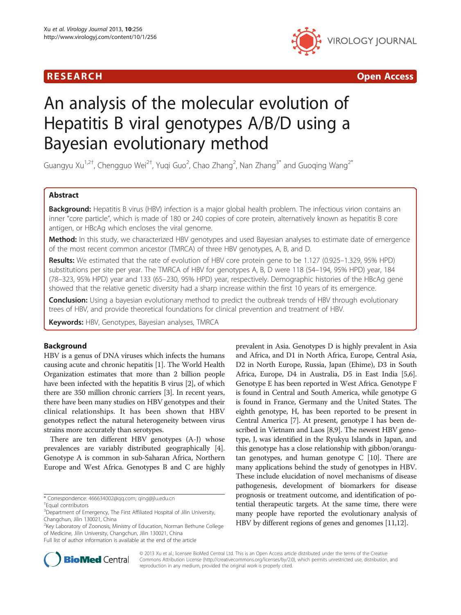

R E S EAR CH Open Access

# An analysis of the molecular evolution of Hepatitis B viral genotypes A/B/D using a Bayesian evolutionary method

Guangyu Xu<sup>1,2†</sup>, Chengguo Wei<sup>2†</sup>, Yuqi Guo<sup>2</sup>, Chao Zhang<sup>2</sup>, Nan Zhang<sup>3\*</sup> and Guoqing Wang<sup>2\*</sup>

# Abstract

Background: Hepatitis B virus (HBV) infection is a major global health problem. The infectious virion contains an inner "core particle", which is made of 180 or 240 copies of core protein, alternatively known as hepatitis B core antigen, or HBcAg which encloses the viral genome.

Method: In this study, we characterized HBV genotypes and used Bayesian analyses to estimate date of emergence of the most recent common ancestor (TMRCA) of three HBV genotypes, A, B, and D.

Results: We estimated that the rate of evolution of HBV core protein gene to be 1.127 (0.925–1.329, 95% HPD) substitutions per site per year. The TMRCA of HBV for genotypes A, B, D were 118 (54–194, 95% HPD) year, 184 (78–323, 95% HPD) year and 133 (65–230, 95% HPD) year, respectively. Demographic histories of the HBcAg gene showed that the relative genetic diversity had a sharp increase within the first 10 years of its emergence.

Conclusion: Using a bayesian evolutionary method to predict the outbreak trends of HBV through evolutionary trees of HBV, and provide theoretical foundations for clinical prevention and treatment of HBV.

Keywords: HBV, Genotypes, Bayesian analyses, TMRCA

# Background

HBV is a genus of DNA viruses which infects the humans causing acute and chronic hepatitis [\[1](#page-5-0)]. The World Health Organization estimates that more than 2 billion people have been infected with the hepatitis B virus [[2](#page-5-0)], of which there are 350 million chronic carriers [[3\]](#page-5-0). In recent years, there have been many studies on HBV genotypes and their clinical relationships. It has been shown that HBV genotypes reflect the natural heterogeneity between virus strains more accurately than serotypes.

There are ten different HBV genotypes (A-J) whose prevalences are variably distributed geographically [[4](#page-5-0)]. Genotype A is common in sub-Saharan Africa, Northern Europe and West Africa. Genotypes B and C are highly

<sup>2</sup>Key Laboratory of Zoonosis, Ministry of Education, Norman Bethune College of Medicine, Jilin University, Changchun, Jilin 130021, China

prevalent in Asia. Genotypes D is highly prevalent in Asia and Africa, and D1 in North Africa, Europe, Central Asia, D2 in North Europe, Russia, Japan (Ehime), D3 in South Africa, Europe, D4 in Australia, D5 in East India [[5,6](#page-5-0)]. Genotype E has been reported in West Africa. Genotype F is found in Central and South America, while genotype G is found in France, Germany and the United States. The eighth genotype, H, has been reported to be present in Central America [\[7](#page-5-0)]. At present, genotype I has been described in Vietnam and Laos [\[8,9](#page-5-0)]. The newest HBV genotype, J, was identified in the Ryukyu Islands in Japan, and this genotype has a close relationship with gibbon/orangutan genotypes, and human genotype  $C$  [[10](#page-5-0)]. There are many applications behind the study of genotypes in HBV. These include elucidation of novel mechanisms of disease pathogenesis, development of biomarkers for disease prognosis or treatment outcome, and identification of potential therapeutic targets. At the same time, there were many people have reported the evolutionary analysis of HBV by different regions of genes and genomes [[11](#page-5-0),[12](#page-5-0)].



© 2013 Xu et al.; licensee BioMed Central Ltd. This is an Open Access article distributed under the terms of the Creative Commons Attribution License [\(http://creativecommons.org/licenses/by/2.0\)](http://creativecommons.org/licenses/by/2.0), which permits unrestricted use, distribution, and reproduction in any medium, provided the original work is properly cited.

<sup>\*</sup> Correspondence: [466634002@qq.com](mailto:466634002@qq.com); [qing@jlu.edu.cn](mailto:qing@jlu.edu.cn) †

Equal contributors

<sup>&</sup>lt;sup>3</sup>Department of Emergency, The First Affiliated Hospital of Jilin University, Changchun, Jilin 130021, China

Full list of author information is available at the end of the article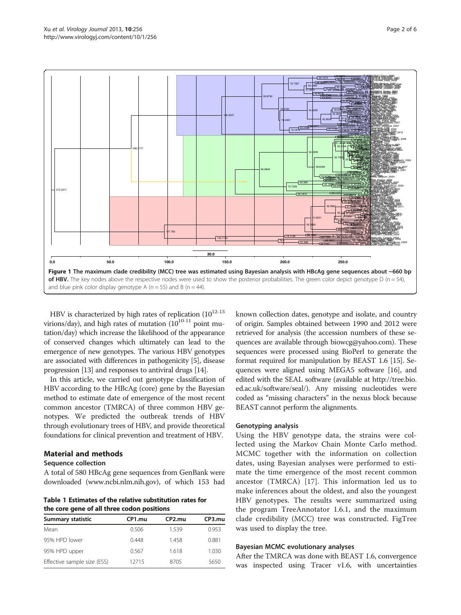<span id="page-1-0"></span>

HBV is characterized by high rates of replication  $(10^{12-13})$ virions/day), and high rates of mutation  $(10^{10-11}$  point mutation/day) which increase the likelihood of the appearance of conserved changes which ultimately can lead to the emergence of new genotypes. The various HBV genotypes are associated with differences in pathogenicity [[5\]](#page-5-0), disease progression [\[13\]](#page-5-0) and responses to antiviral drugs [\[14\]](#page-5-0).

In this article, we carried out genotype classification of HBV according to the HBcAg (core) gene by the Bayesian method to estimate date of emergence of the most recent common ancestor (TMRCA) of three common HBV genotypes. We predicted the outbreak trends of HBV through evolutionary trees of HBV, and provide theoretical foundations for clinical prevention and treatment of HBV.

# Material and methods

## Sequence collection

A total of 580 HBcAg gene sequences from GenBank were downloaded ([www.ncbi.nlm.nih.gov](http://www.ncbi.nlm.nih.gov)), of which 153 had

Table 1 Estimates of the relative substitution rates for the core gene of all three codon positions

| <b>Summary statistic</b>    | CP1.mu | CP <sub>2</sub> .mu | CP3.mu |
|-----------------------------|--------|---------------------|--------|
| Mean                        | 0.506  | 1.539               | 0.953  |
| 95% HPD lower               | 0.448  | 1.458               | 0.881  |
| 95% HPD upper               | 0.567  | 1.618               | 1.030  |
| Effective sample size (ESS) | 12715  | 8705                | 5650   |

known collection dates, genotype and isolate, and country of origin. Samples obtained between 1990 and 2012 were retrieved for analysis (the accession numbers of these sequences are available through biowcg@yahoo.com). These sequences were processed using BioPerl to generate the format required for manipulation by BEAST 1.6 [[15](#page-5-0)]. Sequences were aligned using MEGA5 software [\[16\]](#page-5-0), and edited with the SEAL software (available at [http://tree.bio.](http://tree.bio.ed.ac.uk/software/seal/) [ed.ac.uk/software/seal/](http://tree.bio.ed.ac.uk/software/seal/)). Any missing nucleotides were coded as "missing characters" in the nexus block because BEAST cannot perform the alignments.

# Genotyping analysis

Using the HBV genotype data, the strains were collected using the Markov Chain Monte Carlo method. MCMC together with the information on collection dates, using Bayesian analyses were performed to estimate the time emergence of the most recent common ancestor (TMRCA) [[17\]](#page-5-0). This information led us to make inferences about the oldest, and also the youngest HBV genotypes. The results were summarized using the program TreeAnnotator 1.6.1, and the maximum clade credibility (MCC) tree was constructed. FigTree was used to display the tree.

## Bayesian MCMC evolutionary analyses

After the TMRCA was done with BEAST 1.6, convergence was inspected using Tracer v1.6, with uncertainties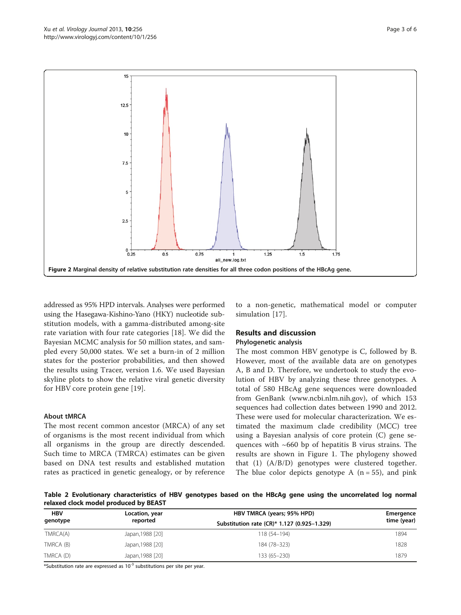<span id="page-2-0"></span>

addressed as 95% HPD intervals. Analyses were performed using the Hasegawa-Kishino-Yano (HKY) nucleotide substitution models, with a gamma-distributed among-site rate variation with four rate categories [[18\]](#page-5-0). We did the Bayesian MCMC analysis for 50 million states, and sampled every 50,000 states. We set a burn-in of 2 million states for the posterior probabilities, and then showed the results using Tracer, version 1.6. We used Bayesian skyline plots to show the relative viral genetic diversity for HBV core protein gene [\[19](#page-5-0)].

# About tMRCA

The most recent common ancestor (MRCA) of any set of organisms is the most recent individual from which all organisms in the group are directly descended. Such time to MRCA (TMRCA) estimates can be given based on DNA test results and established mutation rates as practiced in genetic genealogy, or by reference

to a non-genetic, mathematical model or computer simulation [\[17](#page-5-0)].

# Results and discussion

# Phylogenetic analysis

The most common HBV genotype is C, followed by B. However, most of the available data are on genotypes A, B and D. Therefore, we undertook to study the evolution of HBV by analyzing these three genotypes. A total of 580 HBcAg gene sequences were downloaded from GenBank ([www.ncbi.nlm.nih.gov](http://www.ncbi.nlm.nih.gov)), of which 153 sequences had collection dates between 1990 and 2012. These were used for molecular characterization. We estimated the maximum clade credibility (MCC) tree using a Bayesian analysis of core protein (C) gene sequences with  $~660$  bp of hepatitis B virus strains. The results are shown in Figure [1](#page-1-0). The phylogeny showed that (1) (A/B/D) genotypes were clustered together. The blue color depicts genotype A  $(n = 55)$ , and pink

Table 2 Evolutionary characteristics of HBV genotypes based on the HBcAg gene using the uncorrelated log normal relaxed clock model produced by BEAST

| <b>HBV</b><br>genotype | Location, year   | HBV TMRCA (years; 95% HPD)                  | Emergence<br>time (year) |
|------------------------|------------------|---------------------------------------------|--------------------------|
|                        | reported         | Substitution rate (CR)* 1.127 (0.925-1.329) |                          |
| TMRCA(A)               | Japan, 1988 [20] | 118 (54-194)                                | 1894                     |
| TMRCA (B)              | Japan, 1988 [20] | 184 (78-323)                                | 1828                     |
| TMRCA (D)              | Japan, 1988 [20] | 133 (65-230)                                | 1879                     |

\*Substitution rate are expressed as  $10^{-3}$  substitutions per site per year.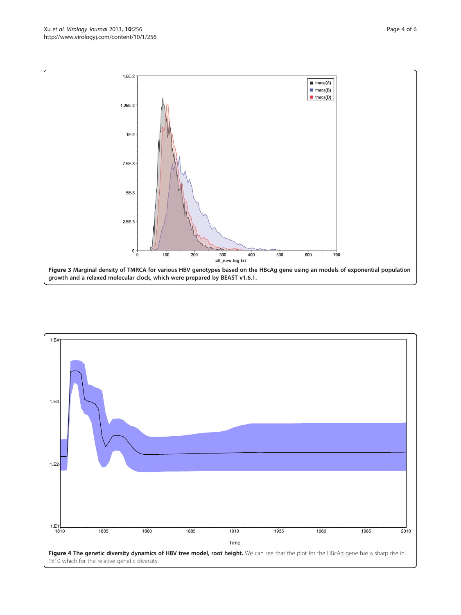<span id="page-3-0"></span>

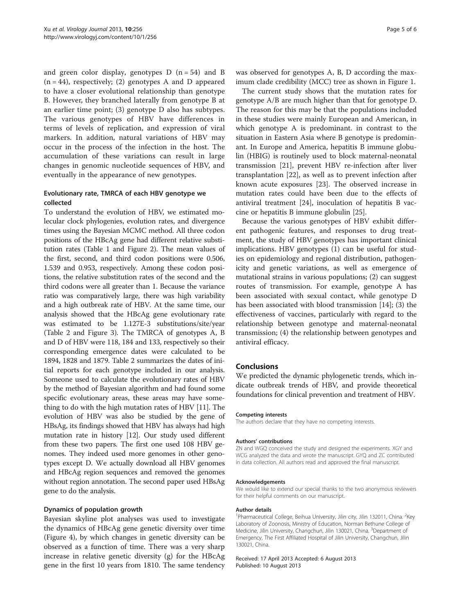and green color display, genotypes  $D(n = 54)$  and B  $(n = 44)$ , respectively; (2) genotypes A and D appeared to have a closer evolutional relationship than genotype B. However, they branched laterally from genotype B at an earlier time point; (3) genotype D also has subtypes. The various genotypes of HBV have differences in terms of levels of replication, and expression of viral markers. In addition, natural variations of HBV may occur in the process of the infection in the host. The accumulation of these variations can result in large changes in genomic nucleotide sequences of HBV, and eventually in the appearance of new genotypes.

# Evolutionary rate, TMRCA of each HBV genotype we collected

To understand the evolution of HBV, we estimated molecular clock phylogenies, evolution rates, and divergence times using the Bayesian MCMC method. All three codon positions of the HBcAg gene had different relative substitution rates (Table [1](#page-1-0) and Figure [2\)](#page-2-0). The mean values of the first, second, and third codon positions were 0.506, 1.539 and 0.953, respectively. Among these codon positions, the relative substitution rates of the second and the third codons were all greater than 1. Because the variance ratio was comparatively large, there was high variability and a high outbreak rate of HBV. At the same time, our analysis showed that the HBcAg gene evolutionary rate was estimated to be 1.127E-3 substitutions/site/year (Table [2](#page-2-0) and Figure [3\)](#page-3-0). The TMRCA of genotypes A, B and D of HBV were 118, 184 and 133, respectively so their corresponding emergence dates were calculated to be 1894, 1828 and 1879. Table [2](#page-2-0) summarizes the dates of initial reports for each genotype included in our analysis. Someone used to calculate the evolutionary rates of HBV by the method of Bayesian algorithm and had found some specific evolutionary areas, these areas may have something to do with the high mutation rates of HBV [\[11\]](#page-5-0). The evolution of HBV was also be studied by the gene of HBsAg, its findings showed that HBV has always had high mutation rate in history [\[12\]](#page-5-0). Our study used different from these two papers. The first one used 108 HBV genomes. They indeed used more genomes in other genotypes except D. We actually download all HBV genomes and HBcAg region sequences and removed the genomes without region annotation. The second paper used HBsAg gene to do the analysis.

## Dynamics of population growth

Bayesian skyline plot analyses was used to investigate the dynamics of HBcAg gene genetic diversity over time (Figure [4](#page-3-0)), by which changes in genetic diversity can be observed as a function of time. There was a very sharp increase in relative genetic diversity (g) for the HBcAg gene in the first 10 years from 1810. The same tendency

was observed for genotypes A, B, D according the maximum clade credibility (MCC) tree as shown in Figure [1.](#page-1-0)

The current study shows that the mutation rates for genotype A/B are much higher than that for genotype D. The reason for this may be that the populations included in these studies were mainly European and American, in which genotype A is predominant. in contrast to the situation in Eastern Asia where B genotype is predominant. In Europe and America, hepatitis B immune globulin (HBIG) is routinely used to block maternal-neonatal transmission [[21](#page-5-0)], prevent HBV re-infection after liver transplantation [\[22\]](#page-5-0), as well as to prevent infection after known acute exposures [\[23](#page-5-0)]. The observed increase in mutation rates could have been due to the effects of antiviral treatment [[24\]](#page-5-0), inoculation of hepatitis B vaccine or hepatitis B immune globulin [[25\]](#page-5-0).

Because the various genotypes of HBV exhibit different pathogenic features, and responses to drug treatment, the study of HBV genotypes has important clinical implications. HBV genotypes (1) can be useful for studies on epidemiology and regional distribution, pathogenicity and genetic variations, as well as emergence of mutational strains in various populations; (2) can suggest routes of transmission. For example, genotype A has been associated with sexual contact, while genotype D has been associated with blood transmission [\[14](#page-5-0)]; (3) the effectiveness of vaccines, particularly with regard to the relationship between genotype and maternal-neonatal transmission; (4) the relationship between genotypes and antiviral efficacy.

## Conclusions

We predicted the dynamic phylogenetic trends, which indicate outbreak trends of HBV, and provide theoretical foundations for clinical prevention and treatment of HBV.

#### Competing interests

The authors declare that they have no competing interests.

#### Authors' contributions

ZN and WGQ conceived the study and designed the experiments. XGY and WCG analyzed the data and wrote the manuscript. GYQ and ZC contributed in data collection. All authors read and approved the final manuscript.

#### Acknowledgements

We would like to extend our special thanks to the two anonymous reviewers for their helpful comments on our manuscript.

#### Author details

<sup>1</sup>Pharmaceutical College, Beihua University, Jilin city, Jilin 132011, China. <sup>2</sup>Key Laboratory of Zoonosis, Ministry of Education, Norman Bethune College of Medicine, Jilin University, Changchun, Jilin 130021, China. <sup>3</sup>Department of Emergency, The First Affiliated Hospital of Jilin University, Changchun, Jilin 130021, China.

Received: 17 April 2013 Accepted: 6 August 2013 Published: 10 August 2013